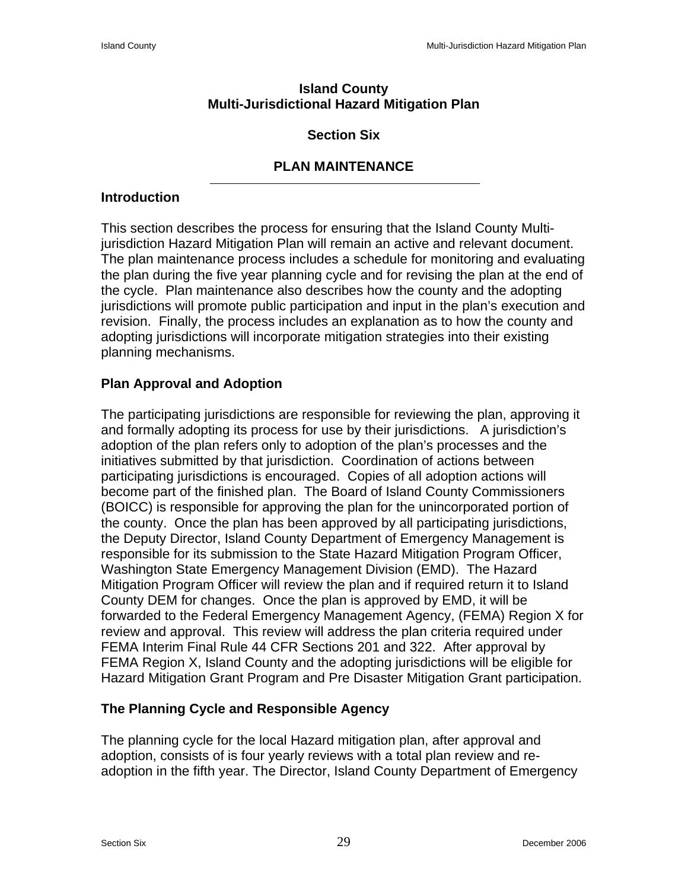#### **Island County Multi-Jurisdictional Hazard Mitigation Plan**

## **Section Six**

# **PLAN MAINTENANCE**

## **Introduction**

This section describes the process for ensuring that the Island County Multijurisdiction Hazard Mitigation Plan will remain an active and relevant document. The plan maintenance process includes a schedule for monitoring and evaluating the plan during the five year planning cycle and for revising the plan at the end of the cycle. Plan maintenance also describes how the county and the adopting jurisdictions will promote public participation and input in the plan's execution and revision. Finally, the process includes an explanation as to how the county and adopting jurisdictions will incorporate mitigation strategies into their existing planning mechanisms.

# **Plan Approval and Adoption**

The participating jurisdictions are responsible for reviewing the plan, approving it and formally adopting its process for use by their jurisdictions. A jurisdiction's adoption of the plan refers only to adoption of the plan's processes and the initiatives submitted by that jurisdiction. Coordination of actions between participating jurisdictions is encouraged. Copies of all adoption actions will become part of the finished plan. The Board of Island County Commissioners (BOICC) is responsible for approving the plan for the unincorporated portion of the county. Once the plan has been approved by all participating jurisdictions, the Deputy Director, Island County Department of Emergency Management is responsible for its submission to the State Hazard Mitigation Program Officer, Washington State Emergency Management Division (EMD). The Hazard Mitigation Program Officer will review the plan and if required return it to Island County DEM for changes. Once the plan is approved by EMD, it will be forwarded to the Federal Emergency Management Agency, (FEMA) Region X for review and approval. This review will address the plan criteria required under FEMA Interim Final Rule 44 CFR Sections 201 and 322. After approval by FEMA Region X, Island County and the adopting jurisdictions will be eligible for Hazard Mitigation Grant Program and Pre Disaster Mitigation Grant participation.

## **The Planning Cycle and Responsible Agency**

The planning cycle for the local Hazard mitigation plan, after approval and adoption, consists of is four yearly reviews with a total plan review and readoption in the fifth year. The Director, Island County Department of Emergency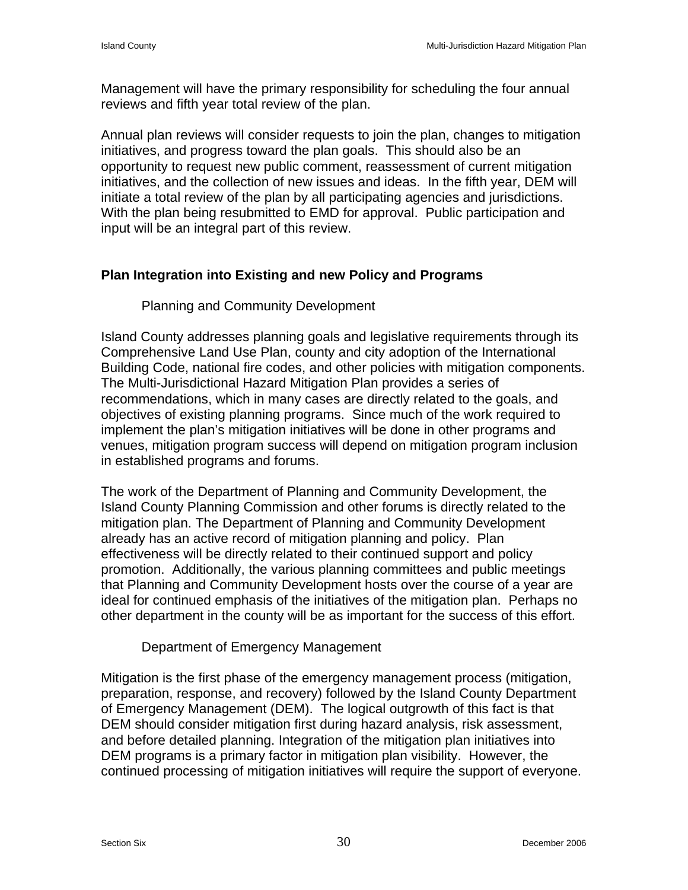Management will have the primary responsibility for scheduling the four annual reviews and fifth year total review of the plan.

Annual plan reviews will consider requests to join the plan, changes to mitigation initiatives, and progress toward the plan goals. This should also be an opportunity to request new public comment, reassessment of current mitigation initiatives, and the collection of new issues and ideas. In the fifth year, DEM will initiate a total review of the plan by all participating agencies and jurisdictions. With the plan being resubmitted to EMD for approval. Public participation and input will be an integral part of this review.

#### **Plan Integration into Existing and new Policy and Programs**

#### Planning and Community Development

Island County addresses planning goals and legislative requirements through its Comprehensive Land Use Plan, county and city adoption of the International Building Code, national fire codes, and other policies with mitigation components. The Multi-Jurisdictional Hazard Mitigation Plan provides a series of recommendations, which in many cases are directly related to the goals, and objectives of existing planning programs. Since much of the work required to implement the plan's mitigation initiatives will be done in other programs and venues, mitigation program success will depend on mitigation program inclusion in established programs and forums.

The work of the Department of Planning and Community Development, the Island County Planning Commission and other forums is directly related to the mitigation plan. The Department of Planning and Community Development already has an active record of mitigation planning and policy. Plan effectiveness will be directly related to their continued support and policy promotion. Additionally, the various planning committees and public meetings that Planning and Community Development hosts over the course of a year are ideal for continued emphasis of the initiatives of the mitigation plan. Perhaps no other department in the county will be as important for the success of this effort.

#### Department of Emergency Management

Mitigation is the first phase of the emergency management process (mitigation, preparation, response, and recovery) followed by the Island County Department of Emergency Management (DEM). The logical outgrowth of this fact is that DEM should consider mitigation first during hazard analysis, risk assessment, and before detailed planning. Integration of the mitigation plan initiatives into DEM programs is a primary factor in mitigation plan visibility. However, the continued processing of mitigation initiatives will require the support of everyone.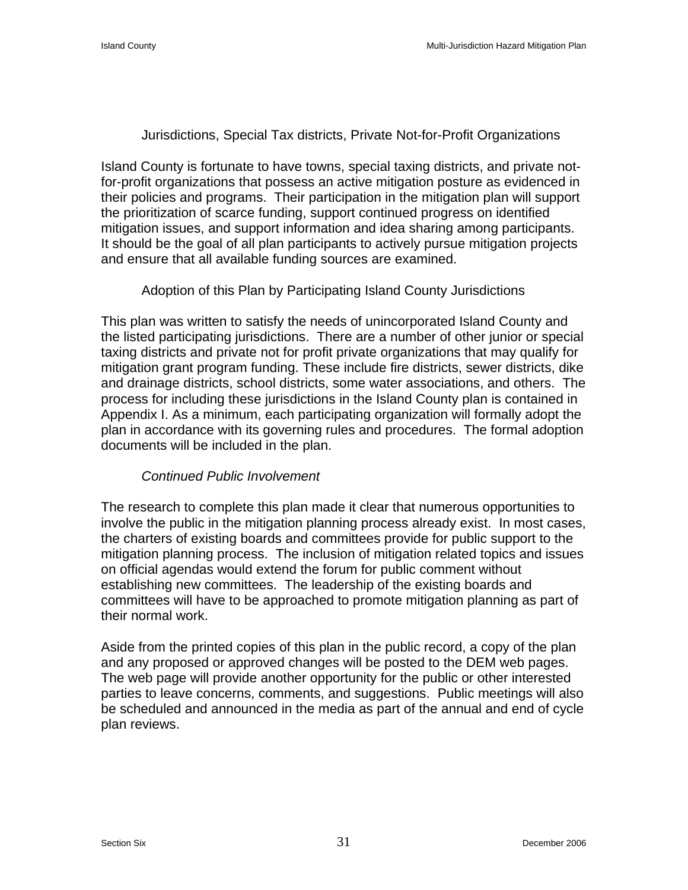## Jurisdictions, Special Tax districts, Private Not-for-Profit Organizations

Island County is fortunate to have towns, special taxing districts, and private notfor-profit organizations that possess an active mitigation posture as evidenced in their policies and programs. Their participation in the mitigation plan will support the prioritization of scarce funding, support continued progress on identified mitigation issues, and support information and idea sharing among participants. It should be the goal of all plan participants to actively pursue mitigation projects and ensure that all available funding sources are examined.

#### Adoption of this Plan by Participating Island County Jurisdictions

This plan was written to satisfy the needs of unincorporated Island County and the listed participating jurisdictions. There are a number of other junior or special taxing districts and private not for profit private organizations that may qualify for mitigation grant program funding. These include fire districts, sewer districts, dike and drainage districts, school districts, some water associations, and others. The process for including these jurisdictions in the Island County plan is contained in Appendix I. As a minimum, each participating organization will formally adopt the plan in accordance with its governing rules and procedures. The formal adoption documents will be included in the plan.

## *Continued Public Involvement*

The research to complete this plan made it clear that numerous opportunities to involve the public in the mitigation planning process already exist. In most cases, the charters of existing boards and committees provide for public support to the mitigation planning process. The inclusion of mitigation related topics and issues on official agendas would extend the forum for public comment without establishing new committees. The leadership of the existing boards and committees will have to be approached to promote mitigation planning as part of their normal work.

Aside from the printed copies of this plan in the public record, a copy of the plan and any proposed or approved changes will be posted to the DEM web pages. The web page will provide another opportunity for the public or other interested parties to leave concerns, comments, and suggestions. Public meetings will also be scheduled and announced in the media as part of the annual and end of cycle plan reviews.